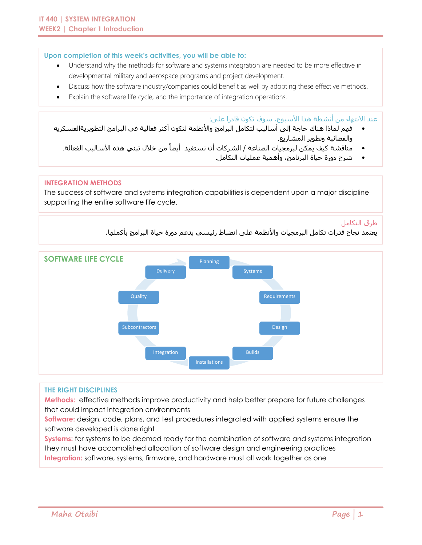### **Upon completion of this week's activities, you will be able to:**

- Understand why the methods for software and systems integration are needed to be more effective in developmental military and aerospace programs and project development.
- Discuss how the software industry/companies could benefit as well by adopting these effective methods.
- Explain the software life cycle, and the importance of integration operations.

### عند الانتهاء من أنشطة هذا الأسبوع، سوف تكون قادرا على:

- فهم لماذا هناك حاجة إلى أساليب لتكامل البرامج واألنظمة لتكون أكثر فعالية في البرامج التطويريةالعسكريه والفضائية وتطوير المشاريع.
	- مناقشة کيف یمکن لبرمجيات الصناعة / الشرکات أن تستفيد أیضا من خالل تبني هذه األساليب الفعالة.
		- شرح دورة حياة البرنامج، وأهمية عمليات التكامل.

### **INTEGRATION METHODS**

The success of software and systems integration capabilities is dependent upon a major discipline supporting the entire software life cycle.

#### طرق التكامل

يعتمد نجاح قدرات تكامل البرمجيات واألنظمة على انضباط رئيسي يدعم دورة حياة البرامج بأكملها.



#### **THE RIGHT DISCIPLINES**

**Methods:** effective methods improve productivity and help better prepare for future challenges that could impact integration environments

**Software:** design, code, plans, and test procedures integrated with applied systems ensure the software developed is done right

**Systems:** for systems to be deemed ready for the combination of software and systems integration they must have accomplished allocation of software design and engineering practices **Integration:** software, systems, firmware, and hardware must all work together as one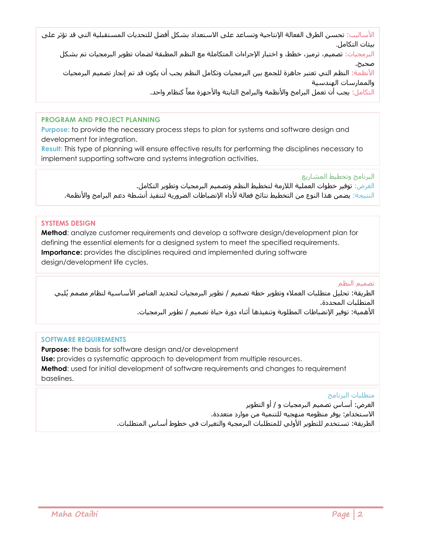األساليب: تحسن الطرق الفعالة اإلنتاجية وتساعد على االستعداد بشكل أفضل للتحديات المستقبلية التي قد تؤثر على بيئات التكامل.

البرمجيات: تصميم، ترميز، خطط، و اختبار اإلجراءات المتكاملة مع النظم المطبقة لضمان تطوير البرمجيات تم بشكل صحيح.

األنظمة: النظم التي تعتبر جاهزة للجمع بين البرمجيات وتكامل النظم يجب أن يكون قد تم إنجاز تصميم البرمجيات والممارسات الهندسية

التكامل: يجب أن تعمل البرامج والأنظمة والبرامج الثابتة والأجهزة معاً كنظام واحد.

## **PROGRAM AND PROJECT PLANNING**

**Purpose:** to provide the necessary process steps to plan for systems and software design and development for integration.

**Result:** This type of planning will ensure effective results for performing the disciplines necessary to implement supporting software and systems integration activities.

البرنامج وتخطيط المشاريع

الغرض: توفير خطوات العملية الالزمة لتخطيط النظم وتصميم البرمجيات وتطوير التكامل. النتيجة: یضمن هذا النوع من التخطيط نتائج فعالة ألداء اإلنضباطات الضروریة لتنفيذ أنشطة دعم البرامج واألنظمة.

## **SYSTEMS DESIGN**

**Method**: analyze customer requirements and develop a software design/development plan for defining the essential elements for a designed system to meet the specified requirements. **Importance:** provides the disciplines required and implemented during software design/development life cycles.

# تصميم النظم

الطريقة: تحليل متطلبات العمالء وتطوير خطة تصميم / تطوير البرمجيات لتحديد العناصر األساسية لنظام مصمم ُيلبي المتطلبات المحددة. الأهمية: توفير الإنضباطات المطلوبة وتنفيذها أثناء دورة حياة تصميم / تطوير البرمجيات.

# **SOFTWARE REQUIREMENTS**

**Purpose:** the basis for software design and/or development **Use:** provides a systematic approach to development from multiple resources. **Method**: used for initial development of software requirements and changes to requirement baselines.

# متطلبات البرنامج

الغرض: أساس تصميم البرمجيات و / أو التطوير االستخدام: يوفر منظومه منهجيه للتنمية من موارد متعددة. الطريقة: تستخدم للتطوير الأولي للمتطلبات البرمجية والتغيرات في خطوط أسـاس المتطلبات.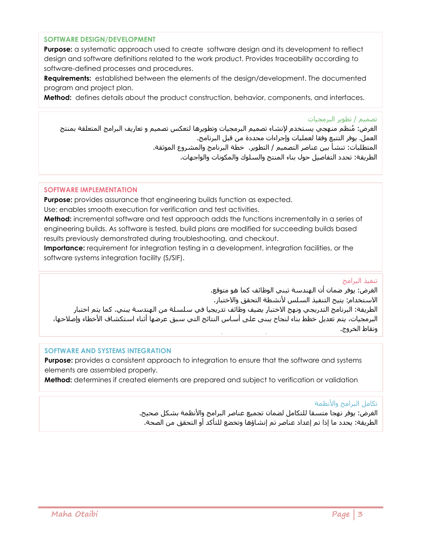### **SOFTWARE DESIGN/DEVELOPMENT**

**Purpose:** a systematic approach used to create software design and its development to reflect design and software definitions related to the work product. Provides traceability according to software-defined processes and procedures.

**Requirements:** established between the elements of the design/development. The documented program and project plan.

**Method:** defines details about the product construction, behavior, components, and interfaces.

#### تصميم / تطوير البرمجيات

الغرض: ُمنظم منهجي يستخدم إلنشاء تصميم البرمجيات وتطويرها لتعكس تصميم و تعاريف البرامج المتعلقة بمنتج العمل. يوفر التتبع وفقا لعمليات وإجراءات محددة من قبل البرنامج. المتطلبات: تنشأ بين عناصر التصميم / التطوير. خطة البرنامج والمشروع الموثقة. الطريقة: تحدد التفاصيل حول بناء المنتج والسلوك والمكونات والواجهات.

### **SOFTWARE IMPLEMENTATION**

**Purpose:** provides assurance that engineering builds function as expected.

Use: enables smooth execution for verification and test activities.

**Method:** incremental software and test approach adds the functions incrementally in a series of engineering builds. As software is tested, build plans are modified for succeeding builds based results previously demonstrated during troubleshooting, and checkout.

**Importance:** requirement for integration testing in a development, integration facilities, or the software systems integration facility (S/SIF).

### تنفيذ البرامج

الغرض: يوفر ضمان أن الهندسة تبني الوظائف كما هو متوقع. الاستخدام: يتيح التنفيذ السلس لأنشطة التحقق والاختبار. الطريقة: البرنامج التدريجي ونهج االختبار يضيف وظائف تدريجيا في سلسلة من الهندسة يبني. كما يتم اختبار البرمجيات، يتم تعديل خطط بناء لنجاح يبنى على أساس النتائج التي سبق عرضها أثناء استكشاف األخطاء وإصالحها، ونقاط الخروج.

### **SOFTWARE AND SYSTEMS INTEGRATION**

**Purpose:** provides a consistent approach to integration to ensure that the software and systems elements are assembled properly.

**Method:** determines if created elements are prepared and subject to verification or validation

### تكامل البرامج والأنظمة

الغرض: يوفر نهجا متسقا للتكامل لضمان تجميع عناصر البرامج واألنظمة بشكل صحيح. الطريقة: يحدد ما إذا تم إعداد عناصر تم إنشاؤها وتخضع للتأكد أو التحقق من الصحة.